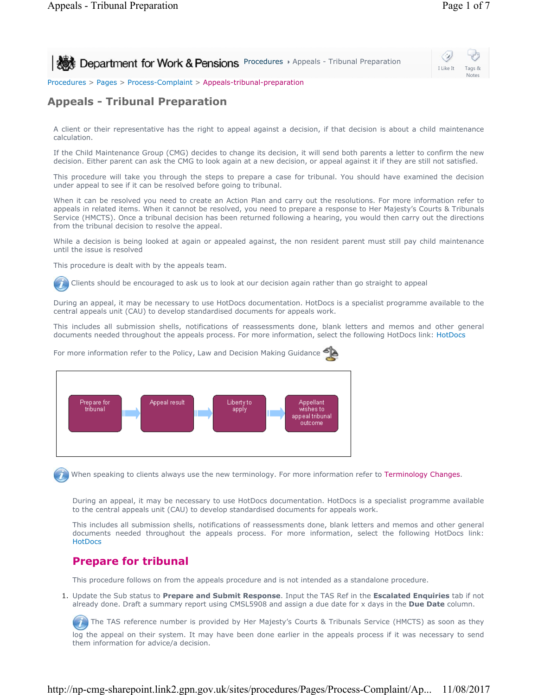

Procedures > Pages > Process-Complaint > Appeals-tribunal-preparation

## **Appeals - Tribunal Preparation**

A client or their representative has the right to appeal against a decision, if that decision is about a child maintenance calculation.

If the Child Maintenance Group (CMG) decides to change its decision, it will send both parents a letter to confirm the new decision. Either parent can ask the CMG to look again at a new decision, or appeal against it if they are still not satisfied.

This procedure will take you through the steps to prepare a case for tribunal. You should have examined the decision under appeal to see if it can be resolved before going to tribunal.

When it can be resolved you need to create an Action Plan and carry out the resolutions. For more information refer to appeals in related items. When it cannot be resolved, you need to prepare a response to Her Majesty's Courts & Tribunals Service (HMCTS). Once a tribunal decision has been returned following a hearing, you would then carry out the directions from the tribunal decision to resolve the appeal.

While a decision is being looked at again or appealed against, the non resident parent must still pay child maintenance until the issue is resolved

This procedure is dealt with by the appeals team.

Clients should be encouraged to ask us to look at our decision again rather than go straight to appeal

During an appeal, it may be necessary to use HotDocs documentation. HotDocs is a specialist programme available to the central appeals unit (CAU) to develop standardised documents for appeals work.

This includes all submission shells, notifications of reassessments done, blank letters and memos and other general documents needed throughout the appeals process. For more information, select the following HotDocs link: HotDocs



For more information refer to the Policy, Law and Decision Making Guidance

When speaking to clients always use the new terminology. For more information refer to Terminology Changes.

During an appeal, it may be necessary to use HotDocs documentation. HotDocs is a specialist programme available to the central appeals unit (CAU) to develop standardised documents for appeals work.

This includes all submission shells, notifications of reassessments done, blank letters and memos and other general documents needed throughout the appeals process. For more information, select the following HotDocs link: **HotDocs** 

## **Prepare for tribunal**

This procedure follows on from the appeals procedure and is not intended as a standalone procedure.

1. Update the Sub status to **Prepare and Submit Response**. Input the TAS Ref in the **Escalated Enquiries** tab if not already done. Draft a summary report using CMSL5908 and assign a due date for x days in the **Due Date** column.

The TAS reference number is provided by Her Majesty's Courts & Tribunals Service (HMCTS) as soon as they log the appeal on their system. It may have been done earlier in the appeals process if it was necessary to send them information for advice/a decision.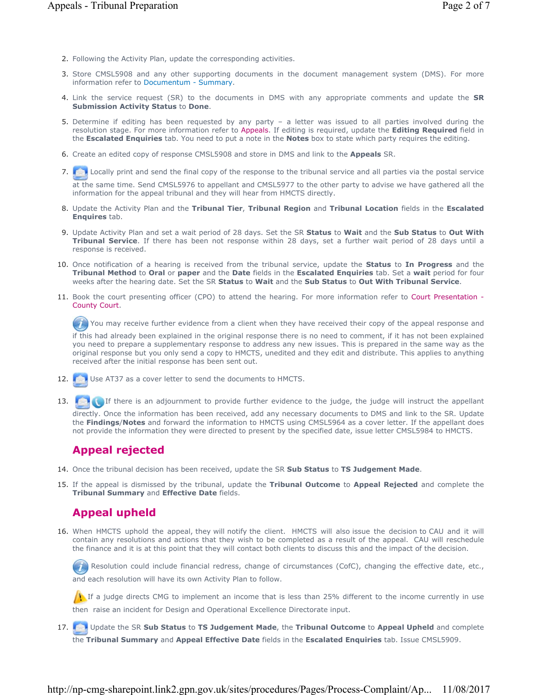- 2. Following the Activity Plan, update the corresponding activities.
- Store CMSL5908 and any other supporting documents in the document management system (DMS). For more 3. information refer to Documentum - Summary.
- Link the service request (SR) to the documents in DMS with any appropriate comments and update the **SR**  4. **Submission Activity Status** to **Done**.
- 5. Determine if editing has been requested by any party a letter was issued to all parties involved during the resolution stage. For more information refer to Appeals. If editing is required, update the **Editing Required** field in the **Escalated Enquiries** tab. You need to put a note in the **Notes** box to state which party requires the editing.
- 6. Create an edited copy of response CMSL5908 and store in DMS and link to the **Appeals** SR.
- 7. Collected be the final copy of the response to the tribunal service and all parties via the postal service

at the same time. Send CMSL5976 to appellant and CMSL5977 to the other party to advise we have gathered all the information for the appeal tribunal and they will hear from HMCTS directly.

- Update the Activity Plan and the **Tribunal Tier**, **Tribunal Region** and **Tribunal Location** fields in the **Escalated**  8. **Enquires** tab.
- Update Activity Plan and set a wait period of 28 days. Set the SR **Status** to **Wait** and the **Sub Status** to **Out With**  9. **Tribunal Service**. If there has been not response within 28 days, set a further wait period of 28 days until a response is received.
- 10. Once notification of a hearing is received from the tribunal service, update the **Status** to In Progress and the **Tribunal Method** to **Oral** or **paper** and the **Date** fields in the **Escalated Enquiries** tab. Set a **wait** period for four weeks after the hearing date. Set the SR **Status** to **Wait** and the **Sub Status** to **Out With Tribunal Service**.
- 11. Book the court presenting officer (CPO) to attend the hearing. For more information refer to Court Presentation -County Court.

You may receive further evidence from a client when they have received their copy of the appeal response and  $\mathcal{I}$ 

if this had already been explained in the original response there is no need to comment, if it has not been explained you need to prepare a supplementary response to address any new issues. This is prepared in the same way as the original response but you only send a copy to HMCTS, unedited and they edit and distribute. This applies to anything received after the initial response has been sent out.

- 12. Use AT37 as a cover letter to send the documents to HMCTS.
- If there is an adjournment to provide further evidence to the judge, the judge will instruct the appellant directly. Once the information has been received, add any necessary documents to DMS and link to the SR. Update the **Findings**/**Notes** and forward the information to HMCTS using CMSL5964 as a cover letter. If the appellant does not provide the information they were directed to present by the specified date, issue letter CMSL5984 to HMCTS. 13.

# **Appeal rejected**

- 14. Once the tribunal decision has been received, update the SR **Sub Status** to **TS Judgement Made**.
- If the appeal is dismissed by the tribunal, update the **Tribunal Outcome** to **Appeal Rejected** and complete the 15. **Tribunal Summary** and **Effective Date** fields.

# **Appeal upheld**

When HMCTS uphold the appeal, they will notify the client. HMCTS will also issue the decision to CAU and it will 16. contain any resolutions and actions that they wish to be completed as a result of the appeal. CAU will reschedule the finance and it is at this point that they will contact both clients to discuss this and the impact of the decision.

Resolution could include financial redress, change of circumstances (CofC), changing the effective date, etc., and each resolution will have its own Activity Plan to follow.

If a judge directs CMG to implement an income that is less than 25% different to the income currently in use then raise an incident for Design and Operational Excellence Directorate input.

Update the SR **Sub Status** to **TS Judgement Made**, the **Tribunal Outcome** to **Appeal Upheld** and complete the **Tribunal Summary** and **Appeal Effective Date** fields in the **Escalated Enquiries** tab. Issue CMSL5909. 17. **12.**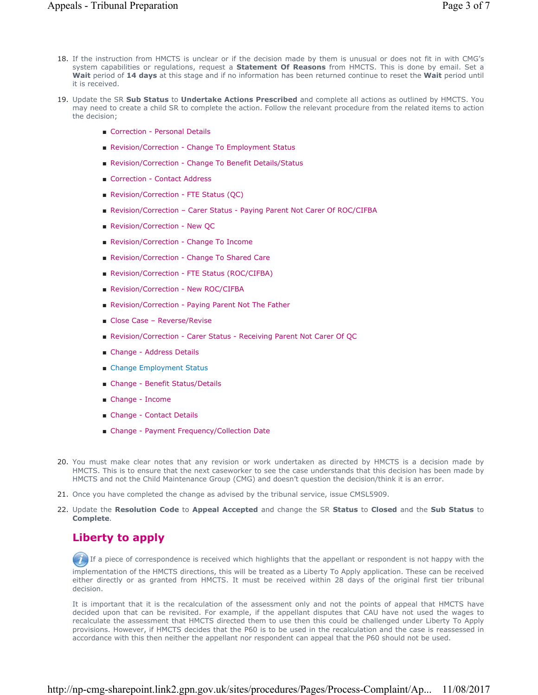- 18. If the instruction from HMCTS is unclear or if the decision made by them is unusual or does not fit in with CMG's system capabilities or regulations, request a **Statement Of Reasons** from HMCTS. This is done by email. Set a **Wait** period of **14 days** at this stage and if no information has been returned continue to reset the **Wait** period until it is received.
- 19. Update the SR Sub Status to Undertake Actions Prescribed and complete all actions as outlined by HMCTS. You may need to create a child SR to complete the action. Follow the relevant procedure from the related items to action the decision;
	- Correction Personal Details
	- Revision/Correction Change To Employment Status
	- Revision/Correction Change To Benefit Details/Status
	- Correction Contact Address
	- Revision/Correction FTE Status (OC)
	- Revision/Correction Carer Status Paying Parent Not Carer Of ROC/CIFBA
	- Revision/Correction New QC
	- Revision/Correction Change To Income
	- Revision/Correction Change To Shared Care
	- Revision/Correction FTE Status (ROC/CIFBA)
	- Revision/Correction New ROC/CIFBA
	- Revision/Correction Paying Parent Not The Father
	- Close Case Reverse/Revise
	- Revision/Correction Carer Status Receiving Parent Not Carer Of QC
	- Change Address Details
	- Change Employment Status
	- Change Benefit Status/Details
	- Change Income
	- Change Contact Details
	- Change Payment Frequency/Collection Date
- 20. You must make clear notes that any revision or work undertaken as directed by HMCTS is a decision made by HMCTS. This is to ensure that the next caseworker to see the case understands that this decision has been made by HMCTS and not the Child Maintenance Group (CMG) and doesn't question the decision/think it is an error.
- 21. Once you have completed the change as advised by the tribunal service, issue CMSL5909.
- Update the **Resolution Code** to **Appeal Accepted** and change the SR **Status** to **Closed** and the **Sub Status** to 22. **Complete**.

## **Liberty to apply**

If a piece of correspondence is received which highlights that the appellant or respondent is not happy with the

implementation of the HMCTS directions, this will be treated as a Liberty To Apply application. These can be received either directly or as granted from HMCTS. It must be received within 28 days of the original first tier tribunal decision.

It is important that it is the recalculation of the assessment only and not the points of appeal that HMCTS have decided upon that can be revisited. For example, if the appellant disputes that CAU have not used the wages to recalculate the assessment that HMCTS directed them to use then this could be challenged under Liberty To Apply provisions. However, if HMCTS decides that the P60 is to be used in the recalculation and the case is reassessed in accordance with this then neither the appellant nor respondent can appeal that the P60 should not be used.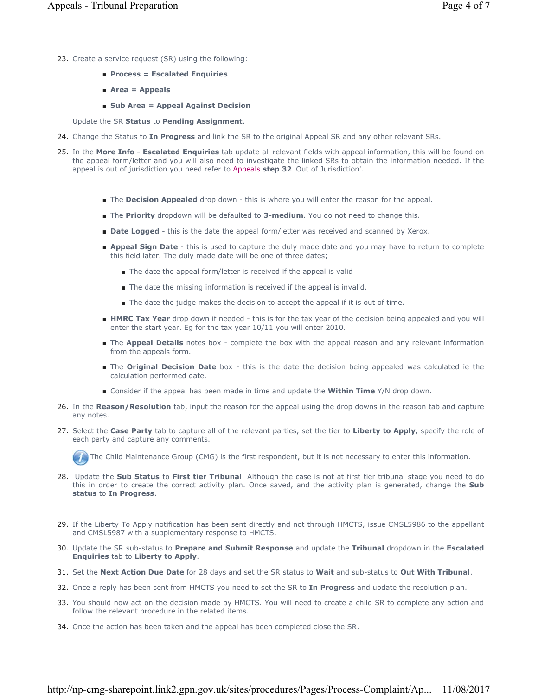- 23. Create a service request (SR) using the following:
	- **Process = Escalated Enquiries**
	- **Area = Appeals**
	- **Sub Area = Appeal Against Decision**

Update the SR **Status** to **Pending Assignment**.

- 24. Change the Status to **In Progress** and link the SR to the original Appeal SR and any other relevant SRs.
- 25. In the More Info Escalated Enquiries tab update all relevant fields with appeal information, this will be found on the appeal form/letter and you will also need to investigate the linked SRs to obtain the information needed. If the appeal is out of jurisdiction you need refer to Appeals **step 32** 'Out of Jurisdiction'.
	- The **Decision Appealed** drop down this is where you will enter the reason for the appeal.
	- The **Priority** dropdown will be defaulted to **3-medium**. You do not need to change this.
	- **Date Logged** this is the date the appeal form/letter was received and scanned by Xerox.
	- **Appeal Sign Date** this is used to capture the duly made date and you may have to return to complete this field later. The duly made date will be one of three dates;
		- The date the appeal form/letter is received if the appeal is valid
		- The date the missing information is received if the appeal is invalid.
		- The date the judge makes the decision to accept the appeal if it is out of time.
	- **HMRC Tax Year** drop down if needed this is for the tax year of the decision being appealed and you will enter the start year. Eg for the tax year 10/11 you will enter 2010.
	- The **Appeal Details** notes box complete the box with the appeal reason and any relevant information from the appeals form.
	- The **Original Decision Date** box this is the date the decision being appealed was calculated ie the calculation performed date.
	- Consider if the appeal has been made in time and update the **Within Time** Y/N drop down.
- 26. In the Reason/Resolution tab, input the reason for the appeal using the drop downs in the reason tab and capture any notes.
- 27. Select the **Case Party** tab to capture all of the relevant parties, set the tier to Liberty to Apply, specify the role of each party and capture any comments.



The Child Maintenance Group (CMG) is the first respondent, but it is not necessary to enter this information.

- Update the **Sub Status** to **First tier Tribunal**. Although the case is not at first tier tribunal stage you need to do 28. this in order to create the correct activity plan. Once saved, and the activity plan is generated, change the **Sub status** to **In Progress**.
- 29. If the Liberty To Apply notification has been sent directly and not through HMCTS, issue CMSL5986 to the appellant and CMSL5987 with a supplementary response to HMCTS.
- Update the SR sub-status to **Prepare and Submit Response** and update the **Tribunal** dropdown in the **Escalated**  30. **Enquiries** tab to **Liberty to Apply**.
- 31. Set the **Next Action Due Date** for 28 days and set the SR status to **Wait** and sub-status to **Out With Tribunal**.
- 32. Once a reply has been sent from HMCTS you need to set the SR to **In Progress** and update the resolution plan.
- 33. You should now act on the decision made by HMCTS. You will need to create a child SR to complete any action and follow the relevant procedure in the related items.
- 34. Once the action has been taken and the appeal has been completed close the SR.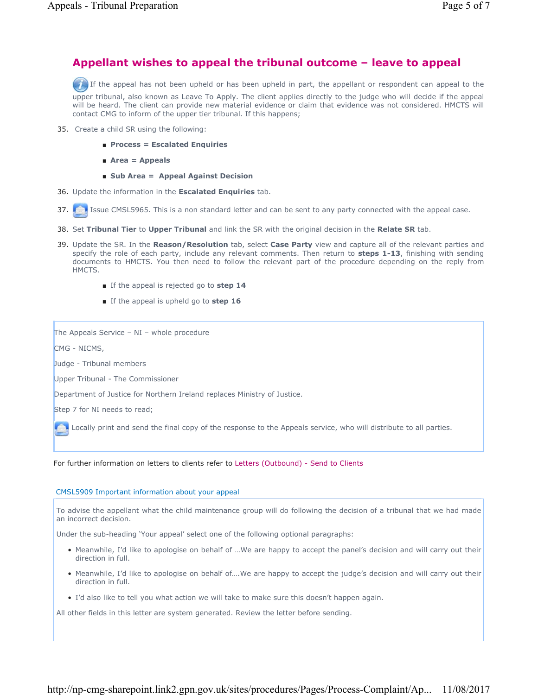### **Appellant wishes to appeal the tribunal outcome – leave to appeal**

If the appeal has not been upheld or has been upheld in part, the appellant or respondent can appeal to the

upper tribunal, also known as Leave To Apply. The client applies directly to the judge who will decide if the appeal will be heard. The client can provide new material evidence or claim that evidence was not considered. HMCTS will contact CMG to inform of the upper tier tribunal. If this happens;

- 35. Create a child SR using the following:
	- **Process = Escalated Enquiries**
	- **Area = Appeals**
	- **Sub Area = Appeal Against Decision**
- 36. Update the information in the **Escalated Enquiries** tab.
- 37. **In I** Issue CMSL5965. This is a non standard letter and can be sent to any party connected with the appeal case.
- 38. Set **Tribunal Tier** to **Upper Tribunal** and link the SR with the original decision in the **Relate SR** tab.
- 39. Update the SR. In the Reason/Resolution tab, select Case Party view and capture all of the relevant parties and specify the role of each party, include any relevant comments. Then return to **steps 1-13**, finishing with sending documents to HMCTS. You then need to follow the relevant part of the procedure depending on the reply from HMCTS.
	- If the appeal is rejected go to step 14
	- If the appeal is upheld go to **step 16**

The Appeals Service – NI – whole procedure

CMG - NICMS,

Judge - Tribunal members

Upper Tribunal - The Commissioner

Department of Justice for Northern Ireland replaces Ministry of Justice.

Step 7 for NI needs to read;

Locally print and send the final copy of the response to the Appeals service, who will distribute to all parties.

#### For further information on letters to clients refer to Letters (Outbound) - Send to Clients

#### CMSL5909 Important information about your appeal

To advise the appellant what the child maintenance group will do following the decision of a tribunal that we had made an incorrect decision.

Under the sub-heading 'Your appeal' select one of the following optional paragraphs:

- Meanwhile, I'd like to apologise on behalf of ...We are happy to accept the panel's decision and will carry out their direction in full.
- Meanwhile, I'd like to apologise on behalf of...We are happy to accept the judge's decision and will carry out their direction in full.
- I'd also like to tell you what action we will take to make sure this doesn't happen again.

All other fields in this letter are system generated. Review the letter before sending.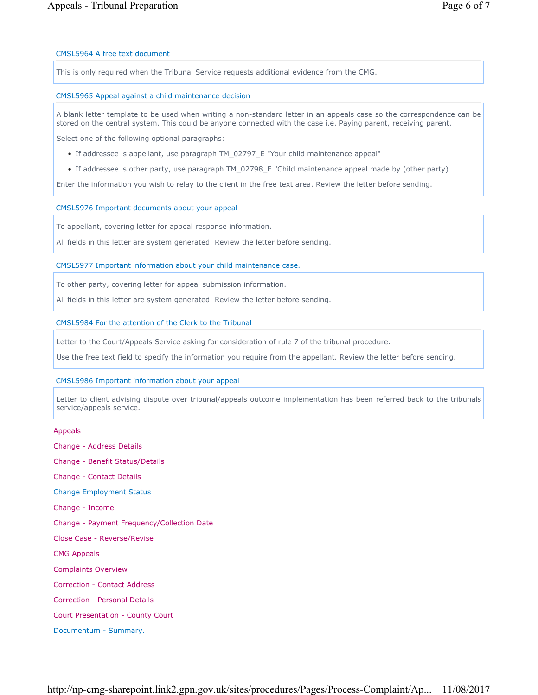#### CMSL5964 A free text document

This is only required when the Tribunal Service requests additional evidence from the CMG.

#### CMSL5965 Appeal against a child maintenance decision

A blank letter template to be used when writing a non-standard letter in an appeals case so the correspondence can be stored on the central system. This could be anyone connected with the case i.e. Paying parent, receiving parent.

Select one of the following optional paragraphs:

- If addressee is appellant, use paragraph TM\_02797\_E "Your child maintenance appeal"
- If addressee is other party, use paragraph TM\_02798\_E "Child maintenance appeal made by (other party)

Enter the information you wish to relay to the client in the free text area. Review the letter before sending.

#### CMSL5976 Important documents about your appeal

To appellant, covering letter for appeal response information.

All fields in this letter are system generated. Review the letter before sending.

#### CMSL5977 Important information about your child maintenance case.

To other party, covering letter for appeal submission information.

All fields in this letter are system generated. Review the letter before sending.

#### CMSL5984 For the attention of the Clerk to the Tribunal

Letter to the Court/Appeals Service asking for consideration of rule 7 of the tribunal procedure.

Use the free text field to specify the information you require from the appellant. Review the letter before sending.

### CMSL5986 Important information about your appeal

Letter to client advising dispute over tribunal/appeals outcome implementation has been referred back to the tribunals service/appeals service.

#### Appeals

Change - Address Details Change - Benefit Status/Details Change - Contact Details Change Employment Status Change - Income Change - Payment Frequency/Collection Date Close Case - Reverse/Revise CMG Appeals Complaints Overview Correction - Contact Address Correction - Personal Details Court Presentation - County Court Documentum - Summary.